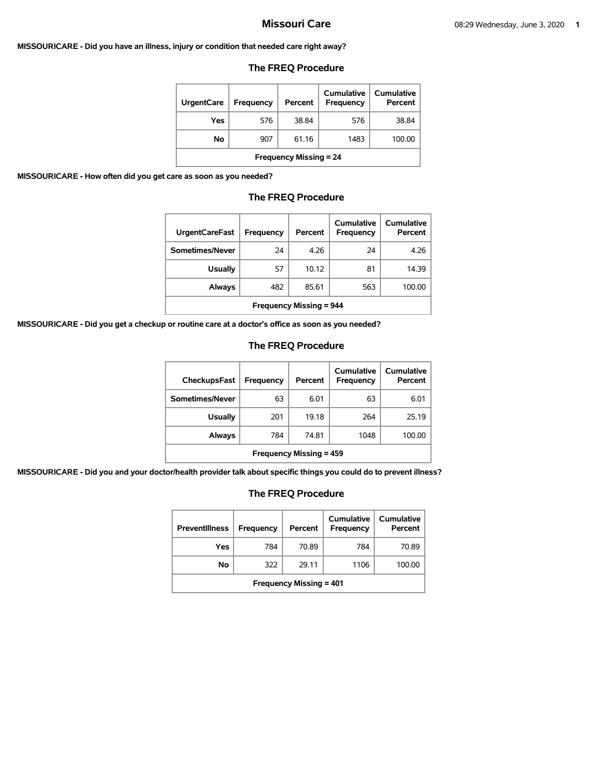#### **MISSOURICARE - Did you have an illness, injury or condition that needed care right away?**

## **The FREQ Procedure**

| <b>UrgentCare</b>             | <b>Frequency</b> | Percent | Cumulative<br><b>Frequency</b> | Cumulative<br>Percent |  |
|-------------------------------|------------------|---------|--------------------------------|-----------------------|--|
| Yes                           | 576              | 38.84   | 576                            | 38.84                 |  |
| Νo                            | 907              | 61.16   | 1483                           | 100.00                |  |
| <b>Frequency Missing = 24</b> |                  |         |                                |                       |  |

**MISSOURICARE - How often did you get care as soon as you needed?** 

## **The FREQ Procedure**

| <b>UrgentCareFast</b>          | Frequency | Percent | Cumulative<br><b>Frequency</b> | Cumulative<br>Percent |
|--------------------------------|-----------|---------|--------------------------------|-----------------------|
| Sometimes/Never                | 24        | 4.26    | 24                             | 4.26                  |
| <b>Usually</b>                 | 57        | 10.12   | 81                             | 14.39                 |
| Always                         | 482       | 85.61   | 563                            | 100.00                |
| <b>Frequency Missing = 944</b> |           |         |                                |                       |

**MISSOURICARE - Did you get a checkup or routine care at a doctor's office as soon as you needed?** 

## **The FREQ Procedure**

| <b>CheckupsFast</b>            | Frequency | Percent | Cumulative<br><b>Frequency</b> | Cumulative<br>Percent |  |
|--------------------------------|-----------|---------|--------------------------------|-----------------------|--|
| Sometimes/Never                | 63        | 6.01    | 63                             | 6.01                  |  |
| <b>Usually</b>                 | 201       | 19.18   | 264                            | 25.19                 |  |
| Always                         | 784       | 74.81   | 1048                           | 100.00                |  |
| <b>Frequency Missing = 459</b> |           |         |                                |                       |  |

**MISSOURICARE - Did you and your doctor/health provider talk about specific things you could do to prevent illness?** 

| <b>Preventillness</b>          | <b>Frequency</b> | Percent | Cumulative<br><b>Frequency</b> | Cumulative<br>Percent |  |
|--------------------------------|------------------|---------|--------------------------------|-----------------------|--|
| Yes                            | 784              | 70.89   | 784                            | 70.89                 |  |
| No                             | 322              | 29.11   | 1106                           | 100.00                |  |
| <b>Frequency Missing = 401</b> |                  |         |                                |                       |  |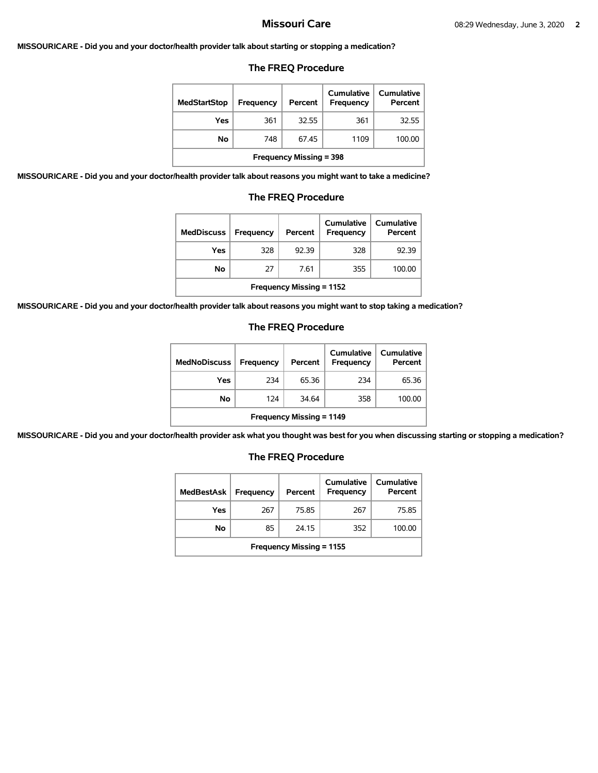### **MISSOURICARE - Did you and your doctor/health provider talk about starting or stopping a medication?**

#### **The FREQ Procedure**

| <b>MedStartStop</b>            | Frequency | Percent | Cumulative<br>Frequency | Cumulative<br>Percent |  |
|--------------------------------|-----------|---------|-------------------------|-----------------------|--|
| Yes                            | 361       | 32.55   | 361                     | 32.55                 |  |
| No                             | 748       | 67.45   | 1109                    | 100.00                |  |
| <b>Frequency Missing = 398</b> |           |         |                         |                       |  |

**MISSOURICARE - Did you and your doctor/health provider talk about reasons you might want to take a medicine?** 

### **The FREQ Procedure**

| <b>MedDiscuss</b>               | Frequency | Percent | <b>Cumulative</b><br>Frequency | Cumulative<br>Percent |  |
|---------------------------------|-----------|---------|--------------------------------|-----------------------|--|
| Yes                             | 328       | 92.39   | 328                            | 92.39                 |  |
| No.                             | 27        | 7.61    | 355                            | 100.00                |  |
| <b>Frequency Missing = 1152</b> |           |         |                                |                       |  |

**MISSOURICARE - Did you and your doctor/health provider talk about reasons you might want to stop taking a medication?** 

### **The FREQ Procedure**

| <b>MedNoDiscuss</b>             | <b>Frequency</b> | Percent | Cumulative<br><b>Frequency</b> | <b>Cumulative</b><br>Percent |  |
|---------------------------------|------------------|---------|--------------------------------|------------------------------|--|
| Yes                             | 234              | 65.36   | 234                            | 65.36                        |  |
| No                              | 124              | 34.64   | 358                            | 100.00                       |  |
| <b>Frequency Missing = 1149</b> |                  |         |                                |                              |  |

**MISSOURICARE - Did you and your doctor/health provider ask what you thought was best for you when discussing starting or stopping a medication?** 

| <b>MedBestAsk</b>               | Frequency | Percent | Cumulative<br>Frequency | Cumulative<br>Percent |  |
|---------------------------------|-----------|---------|-------------------------|-----------------------|--|
| Yes                             | 267       | 75.85   | 267                     | 75.85                 |  |
| No                              | 85        | 24.15   | 352                     | 100.00                |  |
| <b>Frequency Missing = 1155</b> |           |         |                         |                       |  |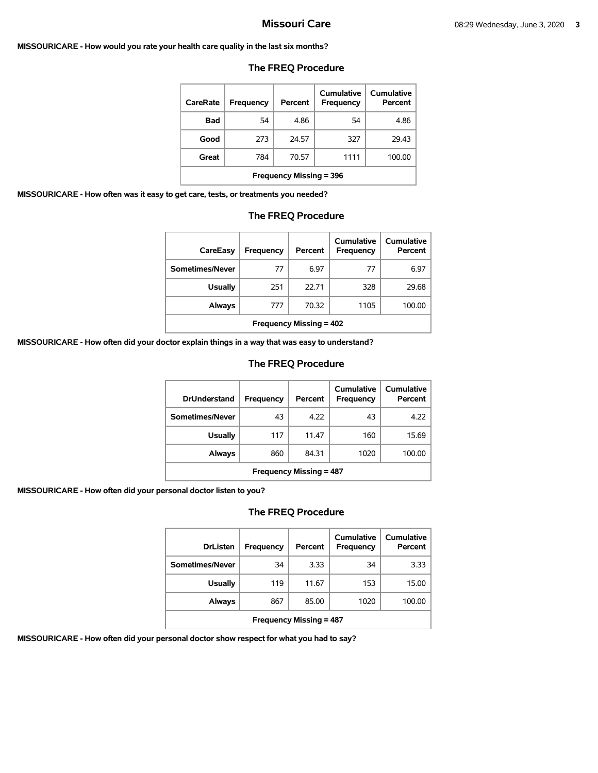#### **MISSOURICARE - How would you rate your health care quality in the last six months?**

| CareRate                       | Frequency | Percent | Cumulative<br>Frequency | Cumulative<br>Percent |  |
|--------------------------------|-----------|---------|-------------------------|-----------------------|--|
| <b>Bad</b>                     | 54        | 4.86    | 54                      | 4.86                  |  |
| Good                           | 273       | 24.57   | 327                     | 29.43                 |  |
| Great                          | 784       | 70.57   | 1111                    | 100.00                |  |
| <b>Frequency Missing = 396</b> |           |         |                         |                       |  |

### **The FREQ Procedure**

**MISSOURICARE - How often was it easy to get care, tests, or treatments you needed?** 

#### **The FREQ Procedure**

| CareEasy                | Frequency | Percent | Cumulative<br>Frequency | Cumulative<br>Percent |
|-------------------------|-----------|---------|-------------------------|-----------------------|
| Sometimes/Never         | 77        | 6.97    | 77                      | 6.97                  |
| <b>Usually</b>          | 251       | 22.71   | 328                     | 29.68                 |
| Always                  | 777       | 70.32   | 1105                    | 100.00                |
| Frequency Missing = 402 |           |         |                         |                       |

**MISSOURICARE - How often did your doctor explain things in a way that was easy to understand?** 

## **The FREQ Procedure**

| <b>DrUnderstand</b>            | Frequency | Percent | Cumulative<br>Frequency | Cumulative<br>Percent |  |
|--------------------------------|-----------|---------|-------------------------|-----------------------|--|
| Sometimes/Never                | 43        | 4.22    | 43                      | 4.22                  |  |
| <b>Usually</b>                 | 117       | 11.47   | 160                     | 15.69                 |  |
| Always                         | 860       | 84.31   | 1020                    | 100.00                |  |
| <b>Frequency Missing = 487</b> |           |         |                         |                       |  |

**MISSOURICARE - How often did your personal doctor listen to you?** 

## **The FREQ Procedure**

| <b>DrListen</b>                | Frequency | Percent | Cumulative<br>Frequency | Cumulative<br>Percent |  |
|--------------------------------|-----------|---------|-------------------------|-----------------------|--|
| Sometimes/Never                | 34        | 3.33    | 34                      | 3.33                  |  |
| Usually                        | 119       | 11.67   | 153                     | 15.00                 |  |
| Always                         | 867       | 85.00   | 1020                    | 100.00                |  |
| <b>Frequency Missing = 487</b> |           |         |                         |                       |  |

**MISSOURICARE - How often did your personal doctor show respect for what you had to say?**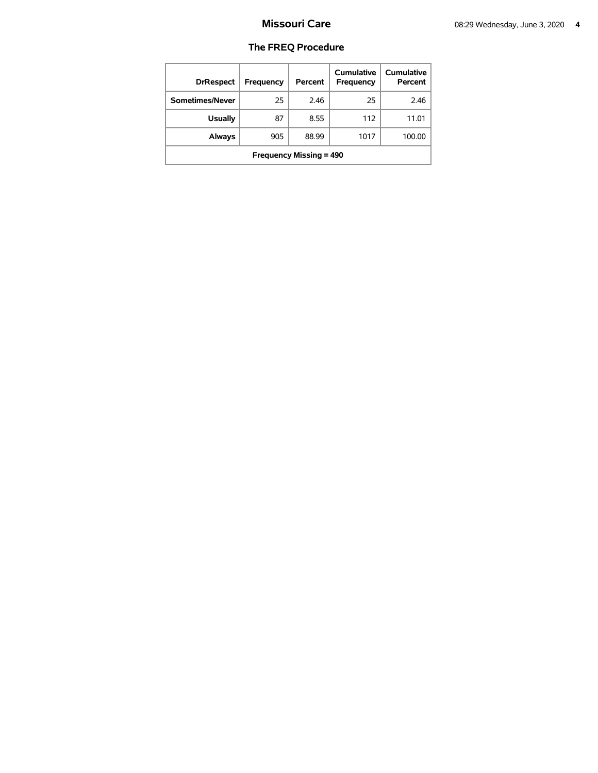| <b>DrRespect</b>               | Frequency | Percent | Cumulative<br>Frequency | Cumulative<br>Percent |  |
|--------------------------------|-----------|---------|-------------------------|-----------------------|--|
| Sometimes/Never                | 25        | 2.46    | 25                      | 2.46                  |  |
| <b>Usually</b>                 | 87        | 8.55    | 112                     | 11.01                 |  |
| <b>Always</b>                  | 905       | 88.99   | 1017                    | 100.00                |  |
| <b>Frequency Missing = 490</b> |           |         |                         |                       |  |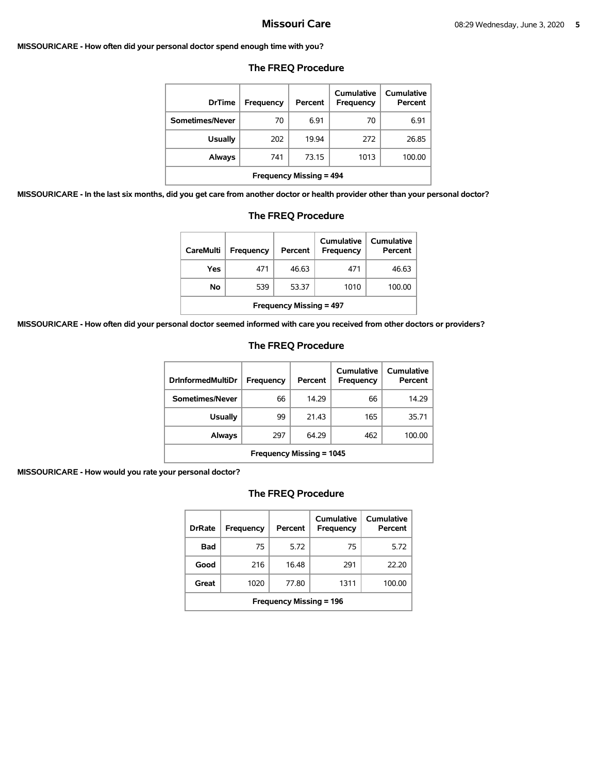#### **MISSOURICARE - How often did your personal doctor spend enough time with you?**

| <b>DrTime</b>                  | <b>Frequency</b> | Percent | Cumulative<br><b>Frequency</b> | Cumulative<br>Percent |
|--------------------------------|------------------|---------|--------------------------------|-----------------------|
| Sometimes/Never                | 70               | 6.91    | 70                             | 6.91                  |
| <b>Usually</b>                 | 202              | 19.94   | 272                            | 26.85                 |
| Always                         | 741              | 73.15   | 1013                           | 100.00                |
| <b>Frequency Missing = 494</b> |                  |         |                                |                       |

### **The FREQ Procedure**

**MISSOURICARE - In the last six months, did you get care from another doctor or health provider other than your personal doctor?** 

| <b>Frequency Missing = 494</b>                                                                      |     |       |     |       |  |  |  |
|-----------------------------------------------------------------------------------------------------|-----|-------|-----|-------|--|--|--|
| you get care from another doctor or health provider other than you                                  |     |       |     |       |  |  |  |
| <b>The FREQ Procedure</b>                                                                           |     |       |     |       |  |  |  |
| Cumulative<br>Cumulative<br><b>CareMulti</b><br><b>Frequency</b><br>Percent<br>Percent<br>Frequency |     |       |     |       |  |  |  |
| Yes                                                                                                 | 471 | 46.63 | 471 | 46.63 |  |  |  |

**No** 539 53.37 1010 100.00

**MISSOURICARE - How often did your personal doctor seemed informed with care you received from other doctors or providers?** 

## **The FREQ Procedure**

| <b>DrInformedMultiDr</b>        | Frequency | Percent | Cumulative<br>Frequency | Cumulative<br>Percent |  |
|---------------------------------|-----------|---------|-------------------------|-----------------------|--|
| Sometimes/Never                 | 66        | 14.29   | 66                      | 14.29                 |  |
| Usually                         | 99        | 21.43   | 165                     | 35.71                 |  |
| <b>Always</b>                   | 297       | 64.29   | 462                     | 100.00                |  |
| <b>Frequency Missing = 1045</b> |           |         |                         |                       |  |

**MISSOURICARE - How would you rate your personal doctor?** 

| <b>DrRate</b>                  | <b>Frequency</b> | Percent | Cumulative<br>Frequency | Cumulative<br>Percent |  |  |
|--------------------------------|------------------|---------|-------------------------|-----------------------|--|--|
| Bad                            | 75               | 5.72    | 75                      | 5.72                  |  |  |
| Good                           | 216              | 16.48   | 291                     | 22.20                 |  |  |
| Great                          | 1020             | 77.80   | 1311                    | 100.00                |  |  |
| <b>Frequency Missing = 196</b> |                  |         |                         |                       |  |  |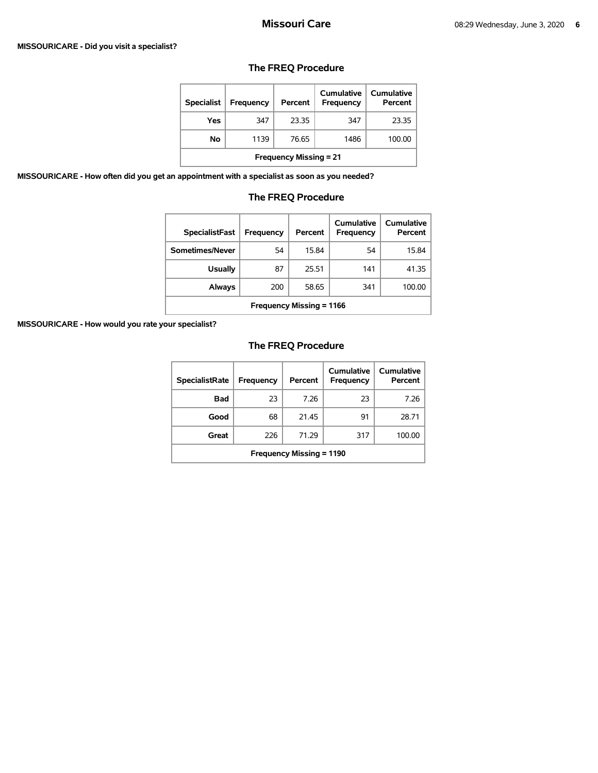#### **MISSOURICARE - Did you visit a specialist?**

| <b>Specialist</b>             | Frequency | Percent | Cumulative<br><b>Frequency</b> | Cumulative<br>Percent |  |  |
|-------------------------------|-----------|---------|--------------------------------|-----------------------|--|--|
| Yes                           | 347       | 23.35   | 347                            | 23.35                 |  |  |
| No                            | 1139      | 76.65   | 1486                           | 100.00                |  |  |
| <b>Frequency Missing = 21</b> |           |         |                                |                       |  |  |

## **The FREQ Procedure**

**MISSOURICARE - How often did you get an appointment with a specialist as soon as you needed?** 

## **The FREQ Procedure**

| <b>SpecialistFast</b>           | Frequency | Percent | Cumulative<br>Frequency | Cumulative<br>Percent |  |
|---------------------------------|-----------|---------|-------------------------|-----------------------|--|
| Sometimes/Never                 | 54        | 15.84   | 54                      | 15.84                 |  |
| <b>Usually</b>                  | 87        | 25.51   | 141                     | 41.35                 |  |
| Always                          | 200       | 58.65   | 341                     | 100.00                |  |
| <b>Frequency Missing = 1166</b> |           |         |                         |                       |  |

**MISSOURICARE - How would you rate your specialist?** 

| <b>SpecialistRate</b>           | <b>Frequency</b> | Percent | Cumulative<br><b>Frequency</b> | <b>Cumulative</b><br>Percent |  |
|---------------------------------|------------------|---------|--------------------------------|------------------------------|--|
| Bad                             | 23               | 7.26    | 23                             | 7.26                         |  |
| Good                            | 68               | 21.45   | 91                             | 28.71                        |  |
| Great                           | 226              | 71.29   | 317                            | 100.00                       |  |
| <b>Frequency Missing = 1190</b> |                  |         |                                |                              |  |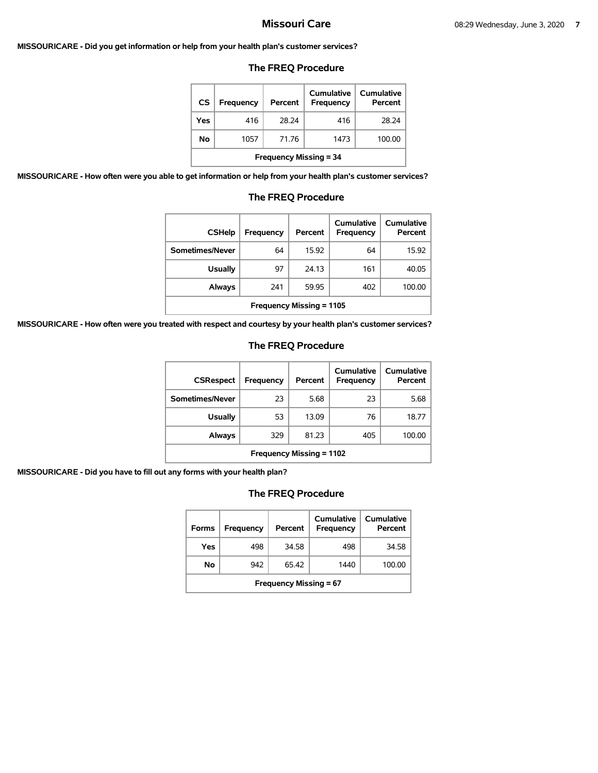#### **MISSOURICARE - Did you get information or help from your health plan's customer services?**

## **The FREQ Procedure**

| <b>CS</b> | Frequency                     | Percent | Cumulative<br>Frequency | Cumulative<br>Percent |  |  |  |
|-----------|-------------------------------|---------|-------------------------|-----------------------|--|--|--|
| Yes       | 416                           | 28.24   | 416                     | 28.24                 |  |  |  |
| No        | 1057                          | 71 76   | 1473                    | 100.00                |  |  |  |
|           | <b>Frequency Missing = 34</b> |         |                         |                       |  |  |  |

**MISSOURICARE - How often were you able to get information or help from your health plan's customer services?** 

# **The FREQ Procedure**

| <b>CSHelp</b>                   | Frequency | Percent | Cumulative<br><b>Frequency</b> | Cumulative<br>Percent |  |
|---------------------------------|-----------|---------|--------------------------------|-----------------------|--|
| Sometimes/Never                 | 64        | 15.92   | 64                             | 15.92                 |  |
| <b>Usually</b>                  | 97        | 24.13   | 161                            | 40.05                 |  |
| Always                          | 241       | 59.95   | 402                            | 100.00                |  |
| <b>Frequency Missing = 1105</b> |           |         |                                |                       |  |

**MISSOURICARE - How often were you treated with respect and courtesy by your health plan's customer services?** 

## **The FREQ Procedure**

| <b>CSRespect</b>                | Frequency | Percent | Cumulative<br>Frequency | Cumulative<br>Percent |  |
|---------------------------------|-----------|---------|-------------------------|-----------------------|--|
| Sometimes/Never                 | 23        | 5.68    | 23                      | 5.68                  |  |
| <b>Usually</b>                  | 53        | 13.09   | 76                      | 18.77                 |  |
| Always                          | 329       | 81.23   | 405                     | 100.00                |  |
| <b>Frequency Missing = 1102</b> |           |         |                         |                       |  |

**MISSOURICARE - Did you have to fill out any forms with your health plan?** 

| <b>Forms</b>                  | Frequency | Percent | Cumulative<br>Frequency | Cumulative<br>Percent |  |
|-------------------------------|-----------|---------|-------------------------|-----------------------|--|
| Yes                           | 498       | 34.58   | 498                     | 34.58                 |  |
| No                            | 942       | 65.42   | 1440                    | 100.00                |  |
| <b>Frequency Missing = 67</b> |           |         |                         |                       |  |